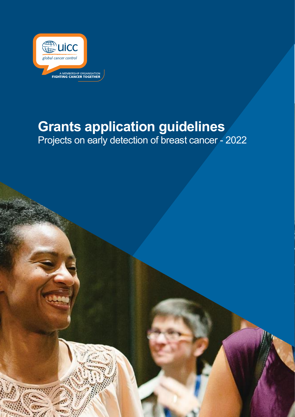

# **Grants application guidelines** Projects on early detection of breast cancer - 2022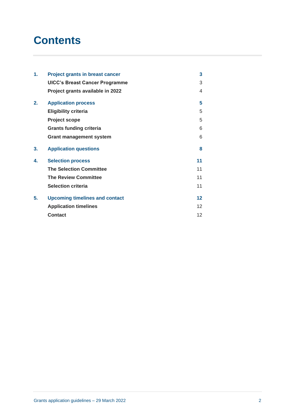# **Contents**

| 1. | <b>Project grants in breast cancer</b> | 3               |
|----|----------------------------------------|-----------------|
|    | <b>UICC's Breast Cancer Programme</b>  | 3               |
|    | Project grants available in 2022       | 4               |
| 2. | <b>Application process</b>             | 5               |
|    | <b>Eligibility criteria</b>            | 5               |
|    | <b>Project scope</b>                   | 5               |
|    | <b>Grants funding criteria</b>         | 6               |
|    | <b>Grant management system</b>         | 6               |
| 3. | <b>Application questions</b>           | 8               |
| 4. | <b>Selection process</b>               | 11              |
|    | <b>The Selection Committee</b>         | 11              |
|    | <b>The Review Committee</b>            | 11              |
|    | <b>Selection criteria</b>              | 11              |
| 5. | <b>Upcoming timelines and contact</b>  | 12              |
|    | <b>Application timelines</b>           | 12 <sup>2</sup> |
|    | <b>Contact</b>                         | 12              |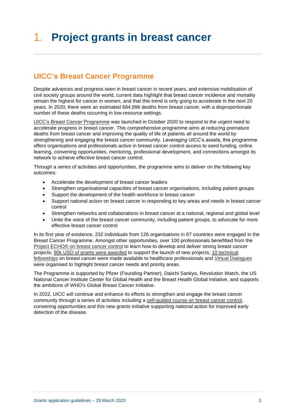# <span id="page-2-0"></span>1. **Project grants in breast cancer**

# <span id="page-2-1"></span>**UICC's Breast Cancer Programme**

Despite advances and progress seen in breast cancer in recent years, and extensive mobilisation of civil society groups around the world, current data highlight that breast cancer incidence and mortality remain the highest for cancer in women, and that this trend is only going to accelerate in the next 20 years. In 2020, there were an estimated 684,996 deaths from breast cancer, with a disproportionate number of these deaths occurring in low-resource settings.

[UICC's Breast Cancer Programme](https://www.uicc.org/what-we-do/thematic-areas-work/breast-cancer/breast-cancer-programme) was launched in October 2020 to respond to the urgent need to accelerate progress in [breast cancer.](https://www.uicc.org/what-we-do/thematic-areas-work/breast-cancer) This comprehensive programme aims at reducing premature deaths from breast cancer and improving the quality of life of patients all around the world by strengthening and engaging the breast cancer community. Leveraging UICC's assets, this programme offers organisations and professionals active in breast cancer control access to seed funding, online learning, convening opportunities, mentoring, professional development, and connections amongst its network to achieve effective breast cancer control.

Through a series of activities and opportunities, the programme aims to deliver on the following key outcomes:

- Accelerate the development of breast cancer leaders
- Strengthen organisational capacities of breast cancer organisations, including patient groups
- Support the development of the health workforce in breast cancer
- Support national action on breast cancer in responding to key areas and needs in breast cancer control
- Strengthen networks and collaborations in breast cancer at a national, regional and global level
- Unite the voice of the breast cancer community, including patient groups, to advocate for more effective breast cancer control

In its first year of existence, 232 individuals from 126 organisations in 67 countries were engaged in the Breast Cancer Programme. Amongst other opportunities, over 100 professionals benefitted from the Project ECHO® [on breast cancer control](https://www.uicc.org/what-we-do/capacity-building/project-echo-breast-cancer-control) to learn how to develop and deliver strong breast cancer projects; [80k USD of grants were awarded](https://www.uicc.org/news/uicc-announces-four-new-grants-breast-cancer-control-lmics) to support the launch of new projects; [10 technical](https://www.uicc.org/what-we-do/capacity-building/fellowships/technical-fellowships)  [fellowships](https://www.uicc.org/what-we-do/capacity-building/fellowships/technical-fellowships) on breast cancer were made available to healthcare professionals and [Virtual Dialogues](https://www.uicc.org/what-we-do/convening/virtual-dialogues/breast-cancer-series) were organised to highlight breast cancer needs and priority areas.

The Programme is supported by Pfizer (Founding Partner), Daiichi Sankyo, Revolution Watch, the US National Cancer Institute Center for Global Health and the Breast Health Global Initiative, and supports the ambitions of [WHO's Global Breast Cancer Initiative.](https://www.who.int/news/item/08-03-2021-new-global-breast-cancer-initiative-highlights-renewed-commitment-to-improve-survival) 

In 2022, UICC will continue and enhance its efforts to strengthen and engage the breast cancer community through a series of activities including a [self-guided course on breast cancer](https://www.uicc.org/what-we-do/capacity-building/online-learning) control, convening opportunities and this new grants initiative supporting national action for improved early detection of the disease.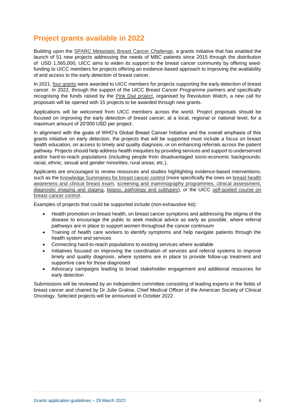## <span id="page-3-0"></span>**Project grants available in 2022**

Building upon the SPARC [Metastatic Breast Cancer Challenge,](https://www.uicc.org/what-we-do/capacity-building/addressing-metastatic-breast-cancer-mbc) a grants initiative that has enabled the launch of 51 new projects addressing the needs of MBC patients since 2015 through the distribution of USD 1,565,000, UICC aims to widen its support to the breast cancer community by offering seedfunding to UICC members for projects offering an evidence-based approach to improving the availability of and access to the early detection of breast cancer.

In 2021, [four grants](https://www.uicc.org/news/uicc-announces-four-new-grants-breast-cancer-control-lmics) were awarded to UICC members for projects supporting the early detection of breast cancer. In 2022, through the support of the UICC Breast Cancer Programme partners and specifically recognising the funds raised by the [Pink Dial project,](https://www.uicc.org/news/watch-auction-support-global-breast-cancer-control-raises-over-usd-500k) organised by Revolution Watch, a new call for proposals will be opened with 15 projects to be awarded through new grants.

Applications will be welcomed from UICC members across the world. Project proposals should be focused on improving the early detection of breast cancer, at a local, regional or national level, for a maximum amount of 20'000 USD per project.

In alignment with the goals of WHO's Global Breast Cancer Initiative and the overall emphasis of this grants initiative on early detection, the projects that will be supported must include a focus on breast health education, on access to timely and quality diagnosis, or on enhancing referrals across the patient pathway. Projects should help address health inequities by providing services and support to underserved and/or hard-to-reach populations (including people from disadvantaged socio-economic backgrounds; racial, ethnic, sexual and gender minorities; rural areas; etc.).

Applicants are encouraged to review resources and studies highlighting evidence-based interventions, such as the [Knowledge Summaries for breast cancer control](https://www.iccp-portal.org/breast-cancer-knowledge-summaries) (more specifically the ones on [breast health](https://www.fredhutch.org/content/dam/www/research/divisions/public-health-sciences/epidemiology/bci-25/KSPDF/KS%20Early%20Detection%20Awareness%20030617.pdf)  [awareness and clinical breast exam,](https://www.fredhutch.org/content/dam/www/research/divisions/public-health-sciences/epidemiology/bci-25/KSPDF/KS%20Early%20Detection%20Awareness%20030617.pdf) [screening and mammography programmes](https://www.fredhutch.org/content/dam/www/research/divisions/public-health-sciences/epidemiology/bci-25/KSPDF/KS%20Early%20Detection%20Mammography%20030617.pdf)[, clinical assessment,](https://www.fredhutch.org/content/dam/www/research/divisions/public-health-sciences/epidemiology/bci-25/KSPDF/KS%20Diagnosis%20Clinical%20Assesment%20030617.pdf)  [diagnostic imaging and staging,](https://www.fredhutch.org/content/dam/www/research/divisions/public-health-sciences/epidemiology/bci-25/KSPDF/KS%20Diagnosis%20Clinical%20Assesment%20030617.pdf) [biopsy, pathology and subtypes\)](https://www.fredhutch.org/content/dam/www/research/divisions/public-health-sciences/epidemiology/bci-25/KSPDF/KS%20Diagnosis%20Biopsy%20030617.pdf), or the UICC [self-guided course on](https://www.uicc.org/what-we-do/capacity-building/online-learning)  [breast cancer](https://www.uicc.org/what-we-do/capacity-building/online-learning) control.

Examples of projects that could be supported include (non-exhaustive list):

- Health promotion on breast health, on breast cancer symptoms and addressing the stigma of the disease to encourage the public to seek medical advice as early as possible, where referral pathways are in place to support women throughout the cancer continuum
- Training of health care workers to identify symptoms and help navigate patients through the health system and services
- Connecting hard-to-reach populations to existing services where available
- Initiatives focused on improving the coordination of services and referral systems to improve timely and quality diagnosis, where systems are in place to provide follow-up treatment and supportive care for those diagnosed
- Advocacy campaigns leading to broad stakeholder engagement and additional resources for early detection

Submissions will be reviewed by an independent committee consisting of leading experts in the fields of breast cancer and chaired by Dr Julie Gralow, Chief Medical Officer of the American Society of Clinical Oncology. Selected projects will be announced in October 2022.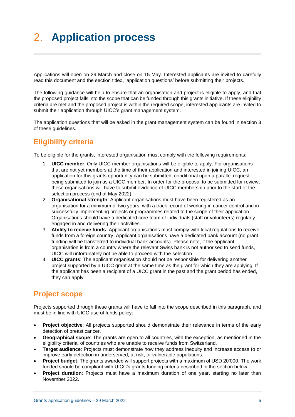# <span id="page-4-0"></span>2. **Application process**

Applications will open on 29 March and close on 15 May. Interested applicants are invited to carefully read this document and the section titled, 'application questions' before submitting their projects.

The following guidance will help to ensure that an organisation and project is eligible to apply, and that the proposed project falls into the scope that can be funded through this grants initiative. If these eligibility criteria are met and the proposed project is within the required scope, interested applicants are invited to submit their application through [UICC's grant management system.](https://uicc.eu-1.smartsimple.eu/s_Login.jsp)

The application questions that will be asked in the grant management system can be found in section 3 of these guidelines.

## <span id="page-4-1"></span>**Eligibility criteria**

To be eligible for the grants, interested organisation must comply with the following requirements:

- 1. **UICC member**: Only UICC member organisations will be eligible to apply. For organisations that are not yet members at the time of their application and interested in joining UICC, an application for this grants opportunity can be submitted, conditional upon a parallel request being submitted to join as a UICC member. In order for the proposal to be submitted for review, these organisations will have to submit evidence of UICC membership prior to the start of the selection process (end of May 2022).
- 2. **Organisational strength**: Applicant organisations must have been registered as an organisation for a minimum of two years, with a track record of working in cancer control and in successfully implementing projects or programmes related to the scope of their application. Organisations should have a dedicated core team of individuals (staff or volunteers) regularly engaged in and delivering their activities.
- 3. **Ability to receive funds**: Applicant organisations must comply with local regulations to receive funds from a foreign country. Applicant organisations have a dedicated bank account (no grant funding will be transferred to individual bank accounts). Please note, if the applicant organisation is from a country where the relevant Swiss bank is not authorised to send funds, UICC will unfortunately not be able to proceed with the selection.
- 4. **UICC grants**: The applicant organisation should not be responsible for delivering another project supported by a UICC grant at the same time as the grant for which they are applying. If the applicant has been a recipient of a UICC grant in the past and the grant period has ended, they can apply.

## <span id="page-4-2"></span>**Project scope**

Projects supported through these grants will have to fall into the scope described in this paragraph, and must be in line with UICC use of funds policy:

- **Project objective**: All projects supported should demonstrate their relevance in terms of the early detection of breast cancer.
- **Geographical scope**: The grants are open to all countries, with the exception, as mentioned in the eligibility criteria, of countries who are unable to receive funds from Switzerland.
- **Target audience**: Projects must demonstrate how they address inequity and increase access to or improve early detection in underserved, at risk, or vulnerable populations.
- **Project budget**: The grants awarded will support projects with a maximum of USD 20'000. The work funded should be compliant with UICC's grants funding criteria described in the section below.
- **Project duration**: Projects must have a maximum duration of one year, starting no later than November 2022.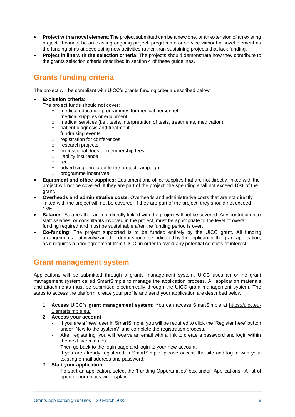- **Project with a novel element**: The project submitted can be a new one, or an extension of an existing project. It cannot be an existing ongoing project, programme or service without a novel element as the funding aims at developing new activities rather than sustaining projects that lack funding.
- **Project in line with the selection criteria**: The projects should demonstrate how they contribute to the grants selection criteria described in section 4 of these guidelines.

# <span id="page-5-0"></span>**Grants funding criteria**

The project will be compliant with UICC's grants funding criteria described below:

#### • **Exclusion criteria:**

The project funds should not cover:

- o medical education programmes for medical personnel
- o medical supplies or equipment
- o medical services (i.e., tests, interpretation of tests, treatments, medication)
- o patient diagnosis and treatment
- o fundraising events
- o registration for conferences
- o research projects
- o professional dues or membership fees
- o liability insurance
- o rent
- o advertising unrelated to the project campaign
- o programme incentives
- **Equipment and office supplies:** Equipment and office supplies that are not directly linked with the project will not be covered. If they are part of the project, the spending shall not exceed 10% of the grant.
- **Overheads and administrative costs**: Overheads and administrative costs that are not directly linked with the project will not be covered. If they are part of the project, they should not exceed 15%.
- **Salaries**: Salaries that are not directly linked with the project will not be covered. Any contribution to staff salaries, or consultants involved in the project, must be appropriate to the level of overall funding required and must be sustainable after the funding period is over.
- **Co-funding**: The project supported is to be funded entirely by the UICC grant. All funding arrangements that involve another donor should be indicated by the applicant in the grant application, as it requires a prior agreement from UICC, in order to avoid any potential conflicts of interest.

## <span id="page-5-1"></span>**Grant management system**

Applications will be submitted through a grants management system. UICC uses an online grant management system called SmartSimple to manage the application process. All application materials and attachments must be submitted electronically through the UICC grant management system. The steps to access the platform, create your profile and send your application are described below:

1. **Access UICC's grant management system:** You can access SmartSimple at [https://uicc.eu-](https://uicc.eu-1.smartsimple.eu/)[1.smartsimple.eu/](https://uicc.eu-1.smartsimple.eu/)

### 2. **Access your account**

- If you are a 'new' user in SmartSimple, you will be required to click the 'Register here' button under 'New to the system?' and complete the registration process.
- After registering, you will receive an email with a link to create a password and login within the next five minutes.
- Then go back to the login page and login to your new account.
- If you are already registered in SmartSimple, please access the site and log in with your existing e-mail address and password.

### 3. **Start your application**

- To start an application, select the 'Funding Opportunities' box under 'Applications'. A list of open opportunities will display.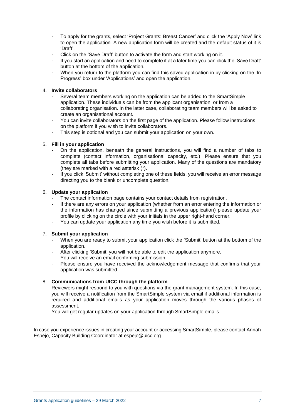- To apply for the grants, select 'Project Grants: Breast Cancer' and click the 'Apply Now' link to open the application. A new application form will be created and the default status of it is 'Draft'.
- Click on the 'Save Draft' button to activate the form and start working on it.
- If you start an application and need to complete it at a later time you can click the 'Save Draft' button at the bottom of the application.
- When you return to the platform you can find this saved application in by clicking on the 'In Progress' box under 'Applications' and open the application.

### 4. **Invite collaborators**

- Several team members working on the application can be added to the SmartSimple application. These individuals can be from the applicant organisation, or from a collaborating organisation. In the latter case, collaborating team members will be asked to create an organisational account.
- You can invite collaborators on the first page of the application. Please follow instructions on the platform if you wish to invite collaborators.
- This step is optional and you can submit your application on your own.

#### 5. **Fill in your application**

- On the application, beneath the general instructions, you will find a number of tabs to complete (contact information, organisational capacity, etc.). Please ensure that you complete all tabs before submitting your application. Many of the questions are mandatory (they are marked with a red asterisk (\*).
- If you click 'Submit' without completing one of these fields, you will receive an error message directing you to the blank or uncomplete question.

### 6. **Update your application**

- The contact information page contains your contact details from registration.
- If there are any errors on your application (whether from an error entering the information or the information has changed since submitting a previous application) please update your profile by clicking on the circle with your initials in the upper right-hand corner.
- You can update your application any time you wish before it is submitted.

#### 7. **Submit your application**

- When you are ready to submit your application click the 'Submit' button at the bottom of the application.
- After clicking 'Submit' you will not be able to edit the application anymore.
- You will receive an email confirming submission.
- Please ensure you have received the acknowledgement message that confirms that your application was submitted.

### 8. **Communications from UICC through the platform**

- Reviewers might respond to you with questions via the grant management system. In this case, you will receive a notification from the SmartSimple system via email if additional information is required and additional emails as your application moves through the various phases of assessment.
- You will get regular updates on your application through SmartSimple emails.

In case you experience issues in creating your account or accessing SmartSimple, please contact Annah Espejo, Capacity Building Coordinator at espejo@uicc.org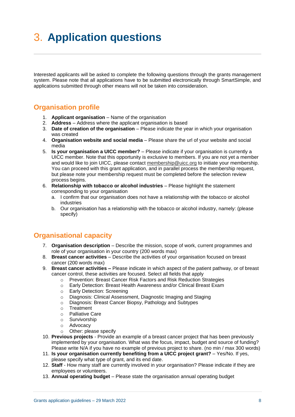# <span id="page-7-0"></span>3. **Application questions**

Interested applicants will be asked to complete the following questions through the grants management system. Please note that all applications have to be submitted electronically through SmartSimple, and applications submitted through other means will not be taken into consideration.

## **Organisation profile**

- 1. **Applicant organisation**  Name of the organisation
- 2. **Address**  Address where the applicant organisation is based
- 3. **Date of creation of the organisation** Please indicate the year in which your organisation was created
- 4. **Organisation website and social media** Please share the url of your website and social media
- 5. **Is your organisation a UICC member?** Please indicate if your organisation is currently a UICC member. Note that this opportunity is exclusive to members. If you are not yet a member and would like to join UICC, please contact [membership@uicc.org](mailto:membership@uicc.org) to initiate your membership. You can proceed with this grant application, and in parallel process the membership request, but please note your membership request must be completed before the selection review process begins.
- 6. **Relationship with tobacco or alcohol industries**  Please highlight the statement corresponding to your organisation
	- a. I confirm that our organisation does not have a relationship with the tobacco or alcohol industries
	- b. Our organisation has a relationship with the tobacco or alcohol industry, namely: (please specify)

## **Organisational capacity**

- 7. **Organisation description** Describe the mission, scope of work, current programmes and role of your organisation in your country (200 words max)
- 8. **Breast cancer activities** Describe the activities of your organisation focused on breast cancer (200 words max)
- 9. **Breast cancer activities –** Please indicate in which aspect of the patient pathway, or of breast cancer control, these activities are focused. Select all fields that apply
	- o [Prevention: Breast Cancer Risk Factors and Risk Reduction Strategies](https://www.fredhutch.org/content/dam/www/research/divisions/public-health-sciences/epidemiology/bci-25/KSPDF/KS%20Prevention%20Risk%20030617.pdf)<br>
	o Early Detection: Breast Health Awareness and/or Clinical Breast Fxam
	- Early Detection: [Breast Health Awareness and/or](http://www.fredhutch.org/en/labs/phs/projects/breast-cancer-initiative_2-5/knowledge-summaries/early-detection-breast-health-awareness-and-clinical-breast-exam.html) Clinical Breast Exam
	- o Early Detection: [Screening](http://www.fredhutch.org/en/labs/phs/projects/breast-cancer-initiative_2-5/knowledge-summaries/early-detection-screening-mammography-programs.html)
	- o Diagnosis: [Clinical Assessment, Diagnostic Imaging and Staging](http://www.fredhutch.org/en/labs/phs/projects/breast-cancer-initiative_2-5/knowledge-summaries/diagnosis-clinical-assessment-diagnostic-imaging-and-staging.html)
	- o Diagnosis: [Breast Cancer Biopsy, Pathology and Subtypes](http://www.fredhutch.org/en/labs/phs/projects/breast-cancer-initiative_2-5/knowledge-summaries/diagnosis-breast-cancer-biopsy-pathology-and-subtypes.html)
	-
	- o Treatment<br>o Palliative C Palliative Care
	- o Survivorship
	- o Advocacy
	- o Other: please specify
- 10. **Previous projects** Provide an example of a breast cancer project that has been previously implemented by your organisation. What was the focus, impact, budget and source of funding? Please write N/A if you have no example of previous project to share. (no min / max 300 words)
- 11. **Is your organisation currently benefiting from a UICC project grant?** Yes/No. If yes, please specify what type of grant, and its end date.
- 12. **Staff**  How many staff are currently involved in your organisation? Please indicate if they are employees or volunteers.
- 13. **Annual operating budget**  Please state the organisation annual operating budget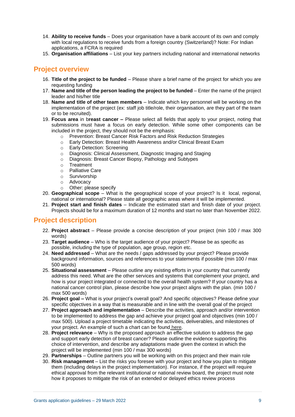- 14. **Ability to receive funds** Does your organisation have a bank account of its own and comply with local regulations to receive funds from a foreign country (Switzerland)? Note: For Indian applications, a FCRA is required
- 15. **Organisation affiliations**  List your key partners including national and international networks

## **Project overview**

- 16. **Title of the project to be funded**  Please share a brief name of the project for which you are requesting funding
- 17. **Name and title of the person leading the project to be funded**  Enter the name of the project leader and his/her title
- 18. **Name and title of other team members**  Indicate which key personnel will be working on the implementation of the project (ex: staff job title/role, their organisation, are they part of the team or to be recruited).
- 19. **Focus area** in b**reast cancer –** Please select all fields that apply to your project, noting that submissions must have a focus on early detection. While some other components can be included in the project, they should not be the emphasis:
	- o [Prevention: Breast Cancer Risk Factors and Risk Reduction Strategies](https://www.fredhutch.org/content/dam/www/research/divisions/public-health-sciences/epidemiology/bci-25/KSPDF/KS%20Prevention%20Risk%20030617.pdf)
	- o Early Detection: [Breast Health Awareness and/or Clinical Breast Exam](http://www.fredhutch.org/en/labs/phs/projects/breast-cancer-initiative_2-5/knowledge-summaries/early-detection-breast-health-awareness-and-clinical-breast-exam.html)
	- o Early Detection: [Screening](http://www.fredhutch.org/en/labs/phs/projects/breast-cancer-initiative_2-5/knowledge-summaries/early-detection-screening-mammography-programs.html)
	- o Diagnosis: [Clinical Assessment, Diagnostic Imaging and Staging](http://www.fredhutch.org/en/labs/phs/projects/breast-cancer-initiative_2-5/knowledge-summaries/diagnosis-clinical-assessment-diagnostic-imaging-and-staging.html)
	- o Diagnosis: [Breast Cancer Biopsy, Pathology and Subtypes](http://www.fredhutch.org/en/labs/phs/projects/breast-cancer-initiative_2-5/knowledge-summaries/diagnosis-breast-cancer-biopsy-pathology-and-subtypes.html)
	- o Treatment
	- o Palliative Care
	- o Survivorship
	- o Advocacy
	- o Other: please specify
- 20. **Geographical scope**  What is the geographical scope of your project? Is it local, regional, national or international? Please state all geographic areas where it will be implemented.
- 21. **Project start and finish dates**  Indicate the estimated start and finish date of your project. Projects should be for a maximum duration of 12 months and start no later than November 2022.

### **Project description**

- 22. **Project abstract** Please provide a concise description of your project (min 100 / max 300 words)
- 23. **Target audience**  Who is the target audience of your project? Please be as specific as possible, including the type of population, age group, region etc.
- 24. **Need addressed** What are the needs / gaps addressed by your project? Please provide background information, sources and references to your statements if possible (min 100 / max 500 words)
- 25. **Situational assessment** Please outline any existing efforts in your country that currently address this need. What are the other services and systems that complement your project, and how is your project integrated or connected to the overall health system? If your country has a national cancer control plan, please describe how your project aligns with the plan. (min 100 / max 500 words)
- 26. **Project goal –** What is your project's overall goal? And specific objectives? Please define your specific objectives in a way that is measurable and in line with the overall goal of the project
- 27. **Project approach and implementation**  Describe the activities, approach and/or intervention to be implemented to address the gap and achieve your project goal and objectives (min 100 / max 500). Upload a project timetable indicating the activities, deliverables, and milestones of your project. An example of such a chart can be found [here.](https://www.google.com/imgres?imgurl=http%3A%2F%2Fbeweb.ucsd.edu%2Fcourses%2Fsenior-design%2Fprojects%2F2011%2Fproject_4%2Fimages%2FGantt%2520chart%2520for%2520website.jpg&imgrefurl=http%3A%2F%2Fbeweb.ucsd.edu%2Fcourses%2Fsenior-design%2Fprojects%2F2011%2Fproject_4%2Fproject%2520Management.html&docid=kLe-wJcZHwunZM&tbnid=wYB_KwwP59RUcM%3A&vet=10ahUKEwjat9GHxMzgAhXBGuwKHfzuAwcQMwg-KAAwAA..i&w=997&h=472&bih=952&biw=1483&q=project%20plan%20chart%20breast%20cancer&ved=0ahUKEwjat9GHxMzgAhXBGuwKHfzuAwcQMwg-KAAwAA&iact=mrc&uact=8#h=472&imgdii=wYB_KwwP59RUcM:&vet=10ahUKEwjat9GHxMzgAhXBGuwKHfzuAwcQMwg-KAAwAA..i&w=997)
- 28. **Project relevance**  Why is the proposed approach an effective solution to address the gap and support early detection of breast cancer? Please outline the evidence supporting this choice of intervention, and describe any adaptations made given the context in which the project will be implemented (min 100 / max 300 words)
- 29. **Partnerships** Outline partners you will be working with on this project and their main role
- 30. **Risk management**  List the risks you foresee with your project and how you plan to mitigate them (including delays in the project implementation). For instance, if the project will require ethical approval from the relevant institutional or national review board, the project must note how it proposes to mitigate the risk of an extended or delayed ethics review process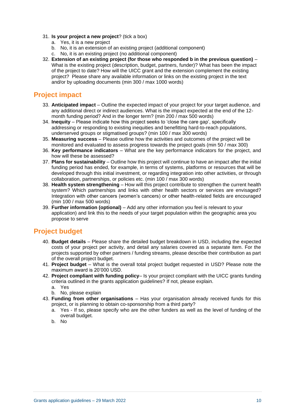- 31. **Is your project a new project**? (tick a box)
	- a. Yes, it is a new project
	- b. No, it is an extension of an existing project (additional component)
	- c. No, it is an existing project (no additional component)
- 32. **Extension of an existing project (for those who responded b in the previous question)**  What is the existing project (description, budget, partners, funder)? What has been the impact of the project to date? How will the UICC grant and the extension complement the existing project? Please share any available information or links on the existing project in the text and/or by uploading documents (min 300 / max 1000 words)

### **Project impact**

- 33. **Anticipated impact** Outline the expected impact of your project for your target audience, and any additional direct or indirect audiences. What is the impact expected at the end of the 12 month funding period? And in the longer term? (min 200 / max 500 words)
- 34. **Inequity**  Please indicate how this project seeks to 'close the care gap', specifically addressing or responding to existing inequities and benefitting hard-to-reach populations, underserved groups or stigmatised groups? (min 100 / max 300 words)
- 35. **Measuring success**  Please outline how the activities and outcomes of the project will be monitored and evaluated to assess progress towards the project goals (min 50 / max 300)
- 36. **Key performance indicators**  What are the key performance indicators for the project, and how will these be assessed?
- 37. **Plans for sustainability** Outline how this project will continue to have an impact after the initial funding period has ended, for example, in terms of systems, platforms or resources that will be developed through this initial investment, or regarding integration into other activities, or through collaboration, partnerships, or policies etc. (min 100 / max 300 words)
- 38. **Health system strengthening** How will this project contribute to strengthen the current health system? Which partnerships and links with other health sectors or services are envisaged? Integration with other cancers (women's cancers) or other health-related fields are encouraged (min 100 / max 500 words)
- 39. **Further information (optional)** Add any other information you feel is relevant to your application) and link this to the needs of your target population within the geographic area you propose to serve

## **Project budget**

- 40. **Budget details**  Please share the detailed budget breakdown in USD, including the expected costs of your project per activity, and detail any salaries covered as a separate item. For the projects supported by other partners / funding streams, please describe their contribution as part of the overall project budget.
- 41. **Project budget**  What is the overall total project budget requested in USD? Please note the maximum award is 20'000 USD.
- 42. **Project compliant with funding policy** Is your project compliant with the UICC grants funding criteria outlined in the grants application guidelines? If not, please explain.
	- a. Yes
	- b. No, please explain
- 43. **Funding from other organisations** Has your organisation already received funds for this project, or is planning to obtain co-sponsorship from a third party?
	- a. Yes If so, please specify who are the other funders as well as the level of funding of the overall budget.
	- b. No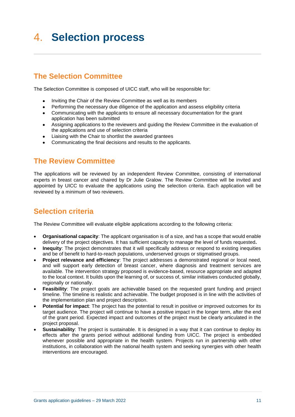# <span id="page-10-0"></span>4. **Selection process**

# <span id="page-10-1"></span>**The Selection Committee**

The Selection Committee is composed of UICC staff, who will be responsible for:

- Inviting the Chair of the Review Committee as well as its members
- Performing the necessary due diligence of the application and assess eligibility criteria
- Communicating with the applicants to ensure all necessary documentation for the grant application has been submitted
- Assigning applications to the reviewers and guiding the Review Committee in the evaluation of the applications and use of selection criteria
- Liaising with the Chair to shortlist the awarded grantees
- Communicating the final decisions and results to the applicants.

## <span id="page-10-2"></span>**The Review Committee**

The applications will be reviewed by an independent Review Committee, consisting of international experts in breast cancer and chaired by Dr Julie Gralow. The Review Committee will be invited and appointed by UICC to evaluate the applications using the selection criteria. Each application will be reviewed by a minimum of two reviewers.

## <span id="page-10-3"></span>**Selection criteria**

The Review Committee will evaluate eligible applications according to the following criteria:

- **Organisational capacity**: The applicant organisation is of a size, and has a scope that would enable delivery of the project objectives. It has sufficient capacity to manage the level of funds requested**.**
- **Inequity:** The project demonstrates that it will specifically address or respond to existing inequities and be of benefit to hard-to-reach populations, underserved groups or stigmatised groups.
- **Project relevance and efficiency**: The project addresses a demonstrated regional or local need, and will support early detection of breast cancer, where diagnosis and treatment services are available. The intervention strategy proposed is evidence-based, resource appropriate and adapted to the local context. It builds upon the learning of, or success of, similar initiatives conducted globally, regionally or nationally.
- **Feasibility**: The project goals are achievable based on the requested grant funding and project timeline. The timeline is realistic and achievable. The budget proposed is in line with the activities of the implementation plan and project description.
- **Potential for impact**: The project has the potential to result in positive or improved outcomes for its target audience. The project will continue to have a positive impact in the longer term, after the end of the grant period. Expected impact and outcomes of the project must be clearly articulated in the project proposal.
- **Sustainability**: The project is sustainable. It is designed in a way that it can continue to deploy its effects after the grants period without additional funding from UICC. The project is embedded whenever possible and appropriate in the health system. Projects run in partnership with other institutions, in collaboration with the national health system and seeking synergies with other health interventions are encouraged.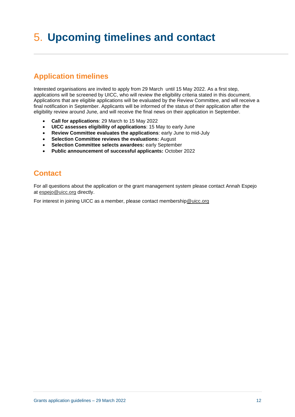# <span id="page-11-0"></span>5. **Upcoming timelines and contact**

# <span id="page-11-1"></span>**Application timelines**

Interested organisations are invited to apply from 29 March until 15 May 2022. As a first step, applications will be screened by UICC, who will review the eligibility criteria stated in this document. Applications that are eligible applications will be evaluated by the Review Committee, and will receive a final notification in September. Applicants will be informed of the status of their application after the eligibility review around June, and will receive the final news on their application in September.

- **Call for applications**: 29 March to 15 May 2022
- **UICC assesses eligibility of applications**: 15 May to early June
- **Review Committee evaluates the applications**: early June to mid-July
- **Selection Committee reviews the evaluations:** August
- **Selection Committee selects awardees:** early September
- **Public announcement of successful applicants:** October 2022

## <span id="page-11-2"></span>**Contact**

For all questions about the application or the grant management system please contact Annah Espejo at [espejo@uicc.org](mailto:espejo@uicc.org) directly.

For interest in joining UICC as a member, please contact membershi[p@uicc.org](mailto:espejo@uicc.org)